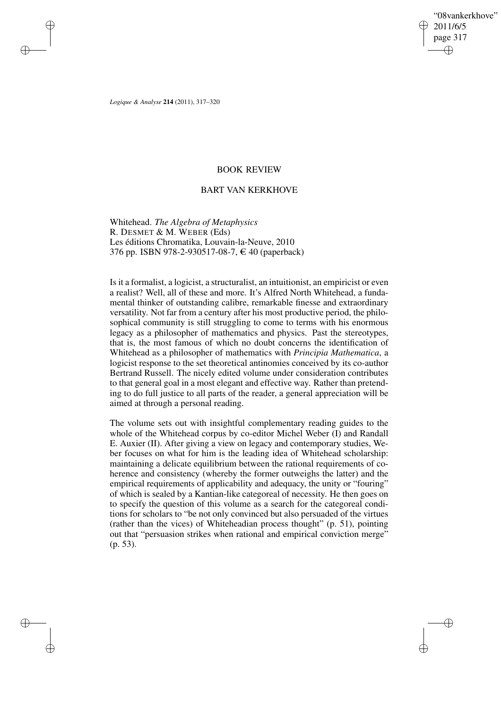"08vankerkhove" 2011/6/5 page 317 ✐ ✐

✐

✐

*Logique & Analyse* **214** (2011), 317–320

 $\rightarrow$ 

 $\rightarrow$ 

✐

✐

# BOOK REVIEW

## BART VAN KERKHOVE

Whitehead. *The Algebra of Metaphysics* R. DESMET & M. WEBER (Eds) Les éditions Chromatika, Louvain-la-Neuve, 2010 376 pp. ISBN 978-2-930517-08-7,  $\in$  40 (paperback)

Isit a formalist, a logicist, a structuralist, an intuitionist, an empiricist or even a realist? Well, all of these and more. It's Alfred North Whitehead, a fundamental thinker of outstanding calibre, remarkable finesse and extraordinary versatility. Not far from a century after his most productive period, the philosophical community is still struggling to come to terms with his enormous legacy as a philosopher of mathematics and physics. Past the stereotypes, that is, the most famous of which no doubt concerns the identification of Whitehead as a philosopher of mathematics with *Principia Mathematica*, a logicist response to the set theoretical antinomies conceived by its co-author Bertrand Russell. The nicely edited volume under consideration contributes to that general goal in a most elegant and effective way. Rather than pretending to do full justice to all parts of the reader, a general appreciation will be aimed at through a personal reading.

The volume sets out with insightful complementary reading guides to the whole of the Whitehead corpus by co-editor Michel Weber (I) and Randall E. Auxier (II). After giving a view on legacy and contemporary studies, Weber focuses on what for him is the leading idea of Whitehead scholarship: maintaining a delicate equilibrium between the rational requirements of coherence and consistency (whereby the former outweighs the latter) and the empirical requirements of applicability and adequacy, the unity or "fouring" of which is sealed by a Kantian-like categoreal of necessity. He then goes on to specify the question of this volume as a search for the categoreal conditions for scholars to "be not only convinced but also persuaded of the virtues (rather than the vices) of Whiteheadian process thought" (p. 51), pointing out that "persuasion strikes when rational and empirical conviction merge" (p. 53).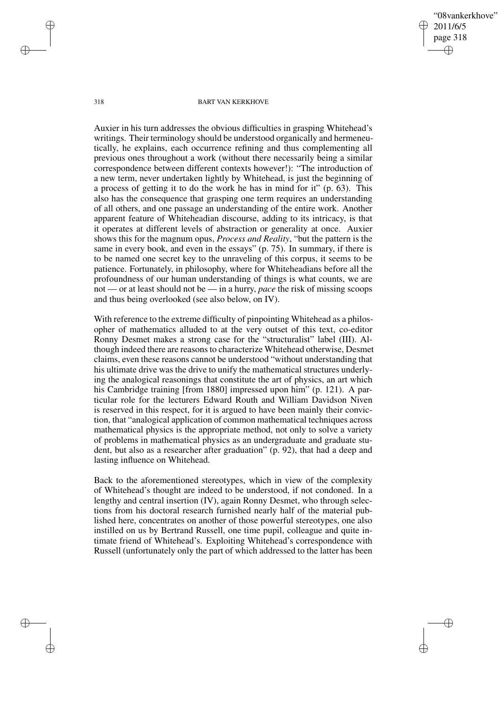"08vankerkhove" 2011/6/5 page 318 ✐ ✐

✐

✐

### 318 BART VAN KERKHOVE

Auxier in his turn addresses the obvious difficulties in grasping Whitehead's writings. Their terminology should be understood organically and hermeneutically, he explains, each occurrence refining and thus complementing all previous ones throughout a work (without there necessarily being a similar correspondence between different contexts however!): "The introduction of a new term, never undertaken lightly by Whitehead, is just the beginning of a process of getting it to do the work he has in mind for it" (p. 63). This also has the consequence that grasping one term requires an understanding of all others, and one passage an understanding of the entire work. Another apparent feature of Whiteheadian discourse, adding to its intricacy, is that it operates at different levels of abstraction or generality at once. Auxier shows this for the magnum opus, *Process and Reality*, "but the pattern is the same in every book, and even in the essays" (p. 75). In summary, if there is to be named one secret key to the unraveling of this corpus, it seems to be patience. Fortunately, in philosophy, where for Whiteheadians before all the profoundness of our human understanding of things is what counts, we are not — or at least should not be — in a hurry, *pace* the risk of missing scoops and thus being overlooked (see also below, on IV).

With reference to the extreme difficulty of pinpointing Whitehead as a philosopher of mathematics alluded to at the very outset of this text, co-editor Ronny Desmet makes a strong case for the "structuralist" label (III). Although indeed there are reasonsto characterize Whitehead otherwise, Desmet claims, even these reasons cannot be understood "without understanding that his ultimate drive was the drive to unify the mathematical structures underlying the analogical reasonings that constitute the art of physics, an art which his Cambridge training [from 1880] impressed upon him" (p. 121). A particular role for the lecturers Edward Routh and William Davidson Niven is reserved in this respect, for it is argued to have been mainly their conviction, that "analogical application of common mathematical techniques across mathematical physics is the appropriate method, not only to solve a variety of problems in mathematical physics as an undergraduate and graduate student, but also as a researcher after graduation" (p. 92), that had a deep and lasting influence on Whitehead.

Back to the aforementioned stereotypes, which in view of the complexity of Whitehead's thought are indeed to be understood, if not condoned. In a lengthy and central insertion (IV), again Ronny Desmet, who through selections from his doctoral research furnished nearly half of the material published here, concentrates on another of those powerful stereotypes, one also instilled on us by Bertrand Russell, one time pupil, colleague and quite intimate friend of Whitehead's. Exploiting Whitehead's correspondence with Russell (unfortunately only the part of which addressed to the latter has been

 $\rightarrow$ 

 $\rightarrow$ 

✐

✐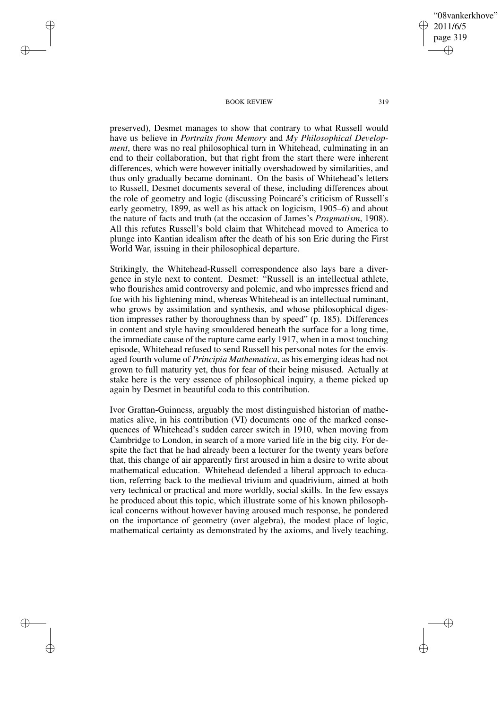"08vankerkhove" 2011/6/5 page 319 ✐ ✐

✐

✐

#### BOOK REVIEW 319

 $\rightarrow$ 

 $\rightarrow$ 

✐

✐

preserved), Desmet manages to show that contrary to what Russell would have us believe in *Portraits from Memory* and *My Philosophical Development*, there was no real philosophical turn in Whitehead, culminating in an end to their collaboration, but that right from the start there were inherent differences, which were however initially overshadowed by similarities, and thus only gradually became dominant. On the basis of Whitehead's letters to Russell, Desmet documents several of these, including differences about the role of geometry and logic (discussing Poincaré's criticism of Russell's early geometry, 1899, as well as his attack on logicism, 1905–6) and about the nature of facts and truth (at the occasion of James's *Pragmatism*, 1908). All this refutes Russell's bold claim that Whitehead moved to America to plunge into Kantian idealism after the death of his son Eric during the First World War, issuing in their philosophical departure.

Strikingly, the Whitehead-Russell correspondence also lays bare a divergence in style next to content. Desmet: "Russell is an intellectual athlete, who flourishes amid controversy and polemic, and who impresses friend and foe with his lightening mind, whereas Whitehead is an intellectual ruminant, who grows by assimilation and synthesis, and whose philosophical digestion impresses rather by thoroughness than by speed" (p. 185). Differences in content and style having smouldered beneath the surface for a long time, the immediate cause of the rupture came early 1917, when in a most touching episode, Whitehead refused to send Russell his personal notes for the envisaged fourth volume of *Principia Mathematica*, as his emerging ideas had not grown to full maturity yet, thus for fear of their being misused. Actually at stake here is the very essence of philosophical inquiry, a theme picked up again by Desmet in beautiful coda to this contribution.

Ivor Grattan-Guinness, arguably the most distinguished historian of mathematics alive, in his contribution (VI) documents one of the marked consequences of Whitehead's sudden career switch in 1910, when moving from Cambridge to London, in search of a more varied life in the big city. For despite the fact that he had already been a lecturer for the twenty years before that, this change of air apparently first aroused in him a desire to write about mathematical education. Whitehead defended a liberal approach to education, referring back to the medieval trivium and quadrivium, aimed at both very technical or practical and more worldly, social skills. In the few essays he produced about this topic, which illustrate some of his known philosophical concerns without however having aroused much response, he pondered on the importance of geometry (over algebra), the modest place of logic, mathematical certainty as demonstrated by the axioms, and lively teaching.